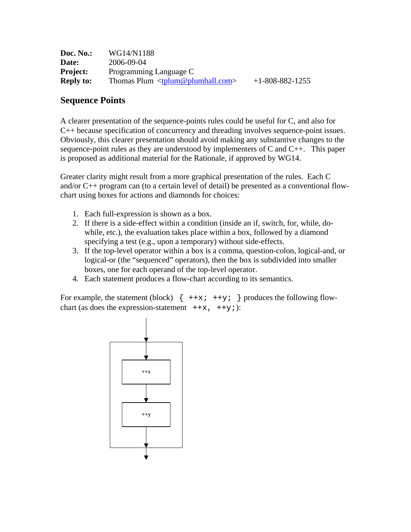| Doc. No.:        | WG14/N1188                                              |                   |
|------------------|---------------------------------------------------------|-------------------|
| Date:            | 2006-09-04                                              |                   |
| <b>Project:</b>  | Programming Language C                                  |                   |
| <b>Reply to:</b> | Thomas Plum $\langle \text{tplum@plumhall.com} \rangle$ | $+1-808-882-1255$ |

## **Sequence Points**

A clearer presentation of the sequence-points rules could be useful for C, and also for C++ because specification of concurrency and threading involves sequence-point issues. Obviously, this clearer presentation should avoid making any substantive changes to the sequence-point rules as they are understood by implementers of C and C++. This paper is proposed as additional material for the Rationale, if approved by WG14.

Greater clarity might result from a more graphical presentation of the rules. Each C and/or C++ program can (to a certain level of detail) be presented as a conventional flowchart using boxes for actions and diamonds for choices:

- 1. Each full-expression is shown as a box.
- 2. If there is a side-effect within a condition (inside an if, switch, for, while, dowhile, etc.), the evaluation takes place within a box, followed by a diamond specifying a test (e.g., upon a temporary) without side-effects.
- 3. If the top-level operator within a box is a comma, question-colon, logical-and, or logical-or (the "sequenced" operators), then the box is subdivided into smaller boxes, one for each operand of the top-level operator.
- 4. Each statement produces a flow-chart according to its semantics.

For example, the statement (block)  $\{ ++x; ++y; \}$  produces the following flowchart (as does the expression-statement  $+x$ ,  $+y$ ;):

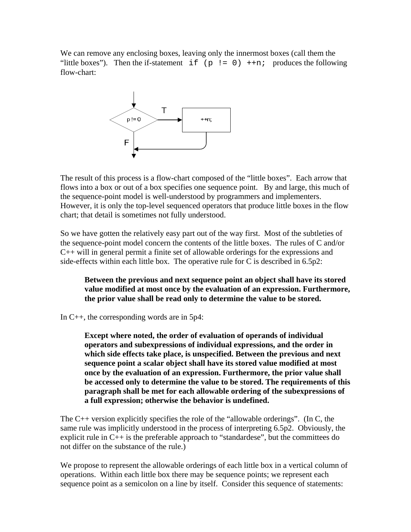We can remove any enclosing boxes, leaving only the innermost boxes (call them the "little boxes"). Then the if-statement  $if (p := 0) +n;$  produces the following flow-chart:



The result of this process is a flow-chart composed of the "little boxes". Each arrow that flows into a box or out of a box specifies one sequence point. By and large, this much of the sequence-point model is well-understood by programmers and implementers. However, it is only the top-level sequenced operators that produce little boxes in the flow chart; that detail is sometimes not fully understood.

So we have gotten the relatively easy part out of the way first. Most of the subtleties of the sequence-point model concern the contents of the little boxes. The rules of C and/or C++ will in general permit a finite set of allowable orderings for the expressions and side-effects within each little box. The operative rule for C is described in 6.5p2:

**Between the previous and next sequence point an object shall have its stored value modified at most once by the evaluation of an expression. Furthermore, the prior value shall be read only to determine the value to be stored.** 

In C++, the corresponding words are in 5p4:

**Except where noted, the order of evaluation of operands of individual operators and subexpressions of individual expressions, and the order in which side effects take place, is unspecified. Between the previous and next sequence point a scalar object shall have its stored value modified at most once by the evaluation of an expression. Furthermore, the prior value shall be accessed only to determine the value to be stored. The requirements of this paragraph shall be met for each allowable ordering of the subexpressions of a full expression; otherwise the behavior is undefined.** 

The C++ version explicitly specifies the role of the "allowable orderings". (In C, the same rule was implicitly understood in the process of interpreting 6.5p2. Obviously, the explicit rule in  $C_{++}$  is the preferable approach to "standardese", but the committees do not differ on the substance of the rule.)

We propose to represent the allowable orderings of each little box in a vertical column of operations. Within each little box there may be sequence points; we represent each sequence point as a semicolon on a line by itself. Consider this sequence of statements: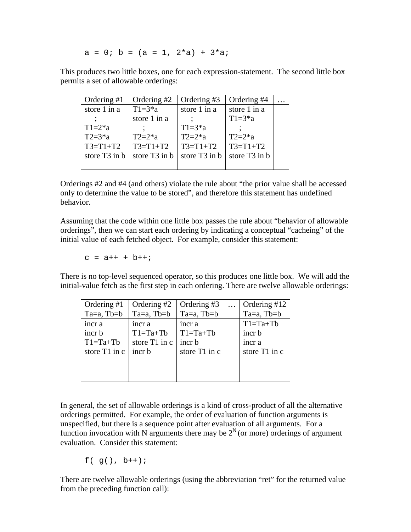$a = 0$ ;  $b = (a = 1, 2*a) + 3*ai$ 

This produces two little boxes, one for each expression-statement. The second little box permits a set of allowable orderings:

| Ordering $#1$             | Ordering #2       | Ordering #3               | Ordering #4               |  |
|---------------------------|-------------------|---------------------------|---------------------------|--|
| store 1 in a              | $T1 = 3 * a$      | store 1 in a              | store 1 in a              |  |
|                           | store 1 in a      |                           | $T1 = 3^*a$               |  |
| $T1=2*a$                  |                   | $T1=3*a$                  |                           |  |
| $T2 = 3^*a$               | $T2=2^*a$         | $T2=2*a$                  | $T2=2^*a$                 |  |
| $T3 = T1 + T2$            | $T3 = T1 + T2$    | $T3 = T1 + T2$            | $T3 = T1 + T2$            |  |
| store T <sub>3</sub> in b | store $T3$ in $b$ | store T <sub>3</sub> in b | store T <sub>3</sub> in b |  |
|                           |                   |                           |                           |  |

Orderings #2 and #4 (and others) violate the rule about "the prior value shall be accessed only to determine the value to be stored", and therefore this statement has undefined behavior.

Assuming that the code within one little box passes the rule about "behavior of allowable orderings", then we can start each ordering by indicating a conceptual "cacheing" of the initial value of each fetched object. For example, consider this statement:

$$
c = a++ + b++
$$

There is no top-level sequenced operator, so this produces one little box. We will add the initial-value fetch as the first step in each ordering. There are twelve allowable orderings:

| Ordering #1     | Ordering #2     | Ordering #3     | Ordering #12    |
|-----------------|-----------------|-----------------|-----------------|
| $Ta=a$ , $Tb=b$ | $Ta=a$ , $Tb=b$ | $Ta=a$ , $Tb=b$ | $Ta=a$ , $Tb=b$ |
| incr a          | incr a          | incr a          | $T1 = Ta + Tb$  |
| incr b          | $T1 = Ta + Tb$  | $T1 = Ta + Tb$  | incr b          |
| $T1 = Ta + Tb$  | store T1 in c   | incr b          | incr a          |
| store T1 in c   | incr b          | store T1 in c   | store T1 in c   |
|                 |                 |                 |                 |
|                 |                 |                 |                 |
|                 |                 |                 |                 |

In general, the set of allowable orderings is a kind of cross-product of all the alternative orderings permitted. For example, the order of evaluation of function arguments is unspecified, but there is a sequence point after evaluation of all arguments. For a function invocation with N arguments there may be  $2^N$  (or more) orderings of argument evaluation. Consider this statement:

 $f( g() , b++)$ ;

There are twelve allowable orderings (using the abbreviation "ret" for the returned value from the preceding function call):